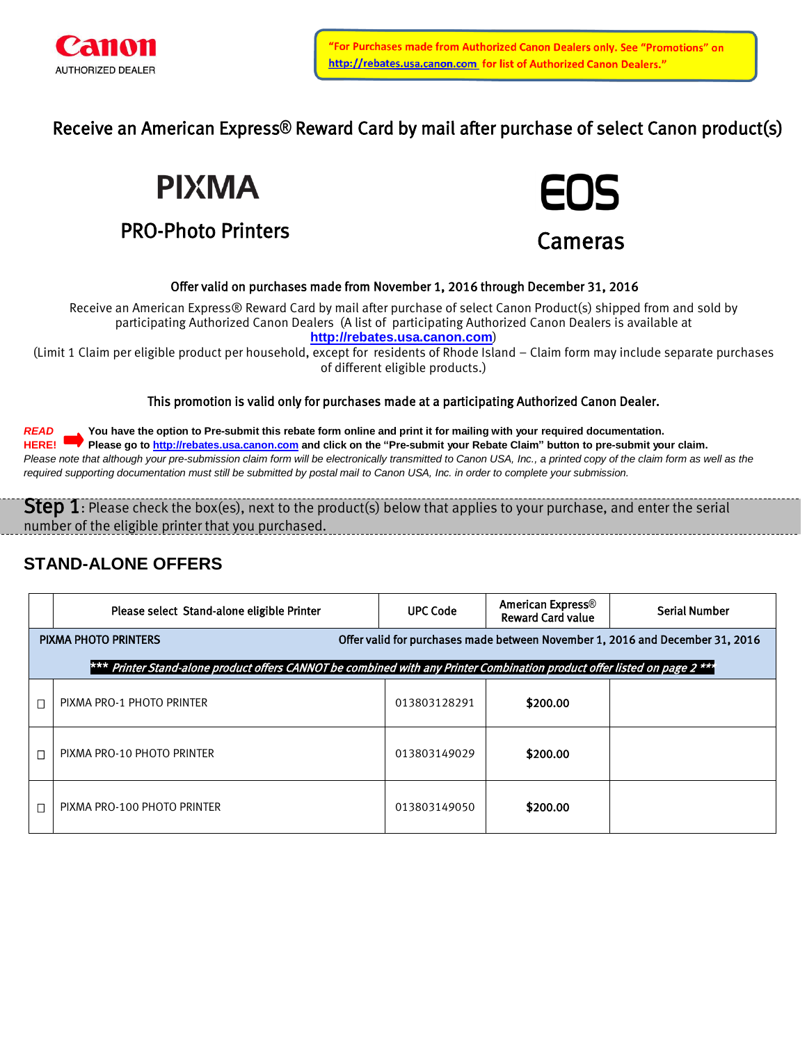

Receive an American Express**®** Reward Card by mail after purchase of select Canon product(s)

**PIXMA** 

# PRO-Photo Printers



## Offer valid on purchases made from November 1, 2016 through December 31, 2016

Receive an American Express® Reward Card by mail after purchase of select Canon Product(s) shipped from and sold by participating Authorized Canon Dealers (A list of participating Authorized Canon Dealers is available at **[http://rebates.usa.canon.com](http://rebates.usa.canon.com/)**)

(Limit 1 Claim per eligible product per household, except for residents of Rhode Island – Claim form may include separate purchases of different eligible products.)

## This promotion is valid only for purchases made at a participating Authorized Canon Dealer.

*READ* **You have the option to Pre-submit this rebate form online and print it for mailing with your required documentation. HERE! Please go to [http://rebates.usa.canon.com](http://rebates.usa.canon.com/) and click on the "Pre-submit your Rebate Claim" button to pre-submit your claim.** Please note that although your pre-submission claim form will be electronically transmitted to Canon USA, Inc., a printed copy of the claim form as well as the *required supporting documentation must still be submitted by postal mail to Canon USA, Inc. in order to complete your submission.*

**Step 1**: Please check the box(es), next to the product(s) below that applies to your purchase, and enter the serial number of the eligible printer that you purchased.

## **STAND-ALONE OFFERS**

|   | Please select Stand-alone eligible Printer                                                                                | <b>UPC Code</b> | <b>American Express®</b><br><b>Reward Card value</b> | <b>Serial Number</b> |  |  |  |
|---|---------------------------------------------------------------------------------------------------------------------------|-----------------|------------------------------------------------------|----------------------|--|--|--|
|   | Offer valid for purchases made between November 1, 2016 and December 31, 2016<br><b>PIXMA PHOTO PRINTERS</b>              |                 |                                                      |                      |  |  |  |
|   | *** Printer Stand-alone product offers CANNOT be combined with any Printer Combination product offer listed on page 2 *** |                 |                                                      |                      |  |  |  |
|   | PIXMA PRO-1 PHOTO PRINTER                                                                                                 | 013803128291    | \$200.00                                             |                      |  |  |  |
|   | PIXMA PRO-10 PHOTO PRINTER                                                                                                | 013803149029    | \$200.00                                             |                      |  |  |  |
| П | PIXMA PRO-100 PHOTO PRINTER                                                                                               | 013803149050    | \$200.00                                             |                      |  |  |  |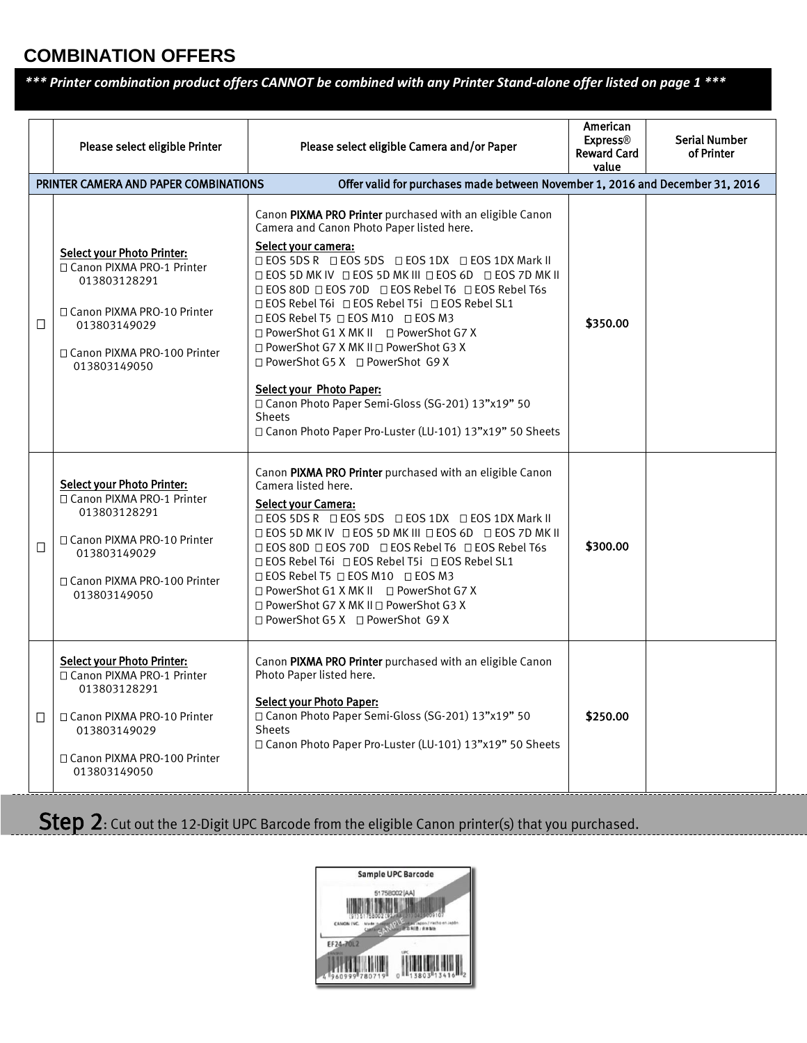## **COMBINATION OFFERS**

*\*\*\* Printer combination product offers CANNOT be combined with any Printer Stand-alone offer listed on page 1 \*\*\**

|        | Please select eligible Printer<br>PRINTER CAMERA AND PAPER COMBINATIONS                                                                                                           | Please select eligible Camera and/or Paper<br>Offer valid for purchases made between November 1, 2016 and December 31, 2016                                                                                                                                                                                                                                                                                                                                                                                                                                                                                                                                                                                                                | American<br><b>Express®</b><br><b>Reward Card</b><br>value | <b>Serial Number</b><br>of Printer |
|--------|-----------------------------------------------------------------------------------------------------------------------------------------------------------------------------------|--------------------------------------------------------------------------------------------------------------------------------------------------------------------------------------------------------------------------------------------------------------------------------------------------------------------------------------------------------------------------------------------------------------------------------------------------------------------------------------------------------------------------------------------------------------------------------------------------------------------------------------------------------------------------------------------------------------------------------------------|------------------------------------------------------------|------------------------------------|
| $\Box$ | <b>Select your Photo Printer:</b><br>□ Canon PIXMA PRO-1 Printer<br>013803128291<br>□ Canon PIXMA PRO-10 Printer<br>013803149029<br>□ Canon PIXMA PRO-100 Printer<br>013803149050 | Canon PIXMA PRO Printer purchased with an eligible Canon<br>Camera and Canon Photo Paper listed here.<br>Select your camera:<br>□ EOS 5DS R □ EOS 5DS □ EOS 1DX □ EOS 1DX Mark II<br><b>□ EOS 5D MK IV □ EOS 5D MK III □ EOS 6D □ EOS 7D MK II</b><br>□ EOS 80D □ EOS 70D □ EOS Rebel T6 □ EOS Rebel T6s<br>$\Box$ EOS Rebel T6i $\Box$ EOS Rebel T5i $\Box$ EOS Rebel SL1<br>$\Box$ EOS Rebel T5 $\Box$ EOS M10 $\Box$ EOS M3<br>$\Box$ PowerShot G1 X MK II $\Box$ PowerShot G7 X<br>□ PowerShot G7 X MK II □ PowerShot G3 X<br>□ PowerShot G5 X □ PowerShot G9 X<br><b>Select your Photo Paper:</b><br>□ Canon Photo Paper Semi-Gloss (SG-201) 13"x19" 50<br><b>Sheets</b><br>□ Canon Photo Paper Pro-Luster (LU-101) 13"x19" 50 Sheets | \$350.00                                                   |                                    |
| $\Box$ | <b>Select your Photo Printer:</b><br>□ Canon PIXMA PRO-1 Printer<br>013803128291<br>□ Canon PIXMA PRO-10 Printer<br>013803149029<br>□ Canon PIXMA PRO-100 Printer<br>013803149050 | Canon PIXMA PRO Printer purchased with an eligible Canon<br>Camera listed here.<br><b>Select your Camera:</b><br>□ EOS 5DS R □ EOS 5DS □ EOS 1DX □ EOS 1DX Mark II<br>□ EOS 5D MK IV □ EOS 5D MK III □ EOS 6D □ EOS 7D MK II<br>□ EOS 80D □ EOS 70D □ EOS Rebel T6 □ EOS Rebel T6s<br>□ EOS Rebel T6i □ EOS Rebel T5i □ EOS Rebel SL1<br>$\Box$ EOS Rebel T5 $\Box$ EOS M10 $\Box$ EOS M3<br>□ PowerShot G1 X MK II □ PowerShot G7 X<br>□ PowerShot G7 X MK II □ PowerShot G3 X<br>□ PowerShot G5 X □ PowerShot G9 X                                                                                                                                                                                                                       | \$300.00                                                   |                                    |
| $\Box$ | <b>Select your Photo Printer:</b><br>□ Canon PIXMA PRO-1 Printer<br>013803128291<br>□ Canon PIXMA PRO-10 Printer<br>013803149029<br>□ Canon PIXMA PRO-100 Printer<br>013803149050 | Canon PIXMA PRO Printer purchased with an eligible Canon<br>Photo Paper listed here.<br><b>Select your Photo Paper:</b><br>□ Canon Photo Paper Semi-Gloss (SG-201) 13"x19" 50<br><b>Sheets</b><br>□ Canon Photo Paper Pro-Luster (LU-101) 13"x19" 50 Sheets                                                                                                                                                                                                                                                                                                                                                                                                                                                                                | \$250.00                                                   |                                    |

Step 2: Cut out the 12-Digit UPC Barcode from the eligible Canon printer(s) that you purchased.